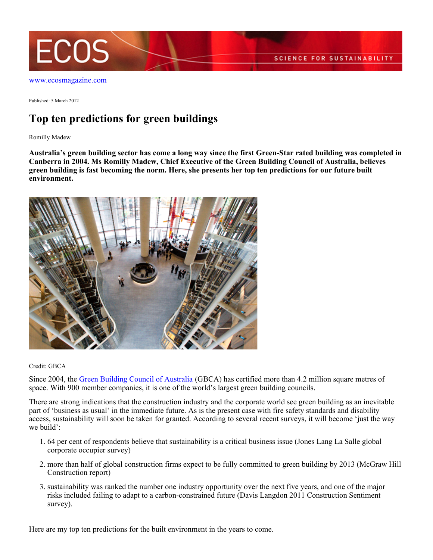

Published: 5 March 2012

# **Top ten predictions for green buildings**

Romilly Madew

**Australia's green building sector has come a long way since the first Green-Star rated building was completed in Canberra in 2004. Ms Romilly Madew, Chief Executive of the Green Building Council of Australia, believes green building is fast becoming the norm. Here, she presents her top ten predictions for our future built environment.**



Credit: GBCA

Since 2004, the [Green Building Council of Australia](http://www.gbca.org.au) (GBCA) has certified more than 4.2 million square metres of space. With 900 member companies, it is one of the world's largest green building councils.

There are strong indications that the construction industry and the corporate world see green building as an inevitable part of 'business as usual' in the immediate future. As is the present case with fire safety standards and disability access, sustainability will soon be taken for granted. According to several recent surveys, it will become 'just the way we build':

- 64 per cent of respondents believe that sustainability is a critical business issue (Jones Lang La Salle global 1. corporate occupier survey)
- more than half of global construction firms expect to be fully committed to green building by 2013 (McGraw Hill 2. Construction report)
- 3. sustainability was ranked the number one industry opportunity over the next five years, and one of the major risks included failing to adapt to a carbon-constrained future (Davis Langdon 2011 Construction Sentiment survey).

Here are my top ten predictions for the built environment in the years to come.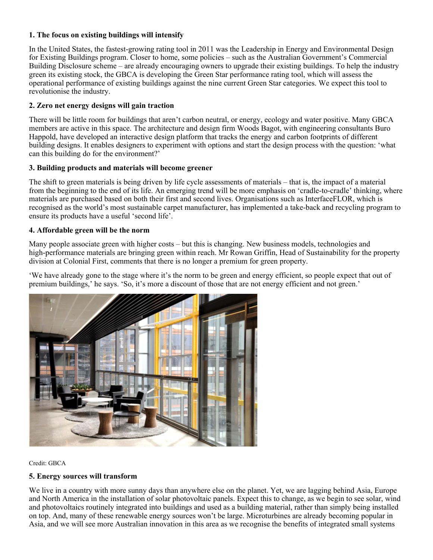## **1. The focus on existing buildings will intensify**

In the United States, the fastest-growing rating tool in 2011 was the Leadership in Energy and Environmental Design for Existing Buildings program. Closer to home, some policies – such as the Australian Government's Commercial Building Disclosure scheme – are already encouraging owners to upgrade their existing buildings. To help the industry green its existing stock, the GBCA is developing the Green Star performance rating tool, which will assess the operational performance of existing buildings against the nine current Green Star categories. We expect this tool to revolutionise the industry.

## **2. Zero net energy designs will gain traction**

There will be little room for buildings that aren't carbon neutral, or energy, ecology and water positive. Many GBCA members are active in this space. The architecture and design firm Woods Bagot, with engineering consultants Buro Happold, have developed an interactive design platform that tracks the energy and carbon footprints of different building designs. It enables designers to experiment with options and start the design process with the question: 'what can this building do for the environment?'

## **3. Building products and materials will become greener**

The shift to green materials is being driven by life cycle assessments of materials – that is, the impact of a material from the beginning to the end of its life. An emerging trend will be more emphasis on 'cradle-to-cradle' thinking, where materials are purchased based on both their first and second lives. Organisations such as InterfaceFLOR, which is recognised as the world's most sustainable carpet manufacturer, has implemented a take-back and recycling program to ensure its products have a useful 'second life'.

## **4. Affordable green will be the norm**

Many people associate green with higher costs – but this is changing. New business models, technologies and high-performance materials are bringing green within reach. Mr Rowan Griffin, Head of Sustainability for the property division at Colonial First, comments that there is no longer a premium for green property.

'We have already gone to the stage where it's the norm to be green and energy efficient, so people expect that out of premium buildings,' he says. 'So, it's more a discount of those that are not energy efficient and not green.'



Credit: GBCA

## **5. Energy sources will transform**

We live in a country with more sunny days than anywhere else on the planet. Yet, we are lagging behind Asia, Europe and North America in the installation of solar photovoltaic panels. Expect this to change, as we begin to see solar, wind and photovoltaics routinely integrated into buildings and used as a building material, rather than simply being installed on top. And, many of these renewable energy sources won't be large. Microturbines are already becoming popular in Asia, and we will see more Australian innovation in this area as we recognise the benefits of integrated small systems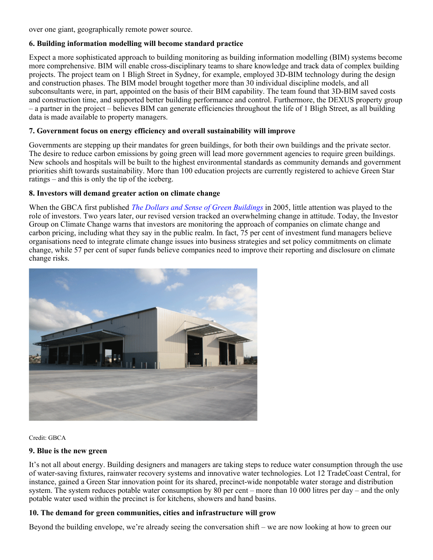over one giant, geographically remote power source.

### **6. Building information modelling will become standard practice**

Expect a more sophisticated approach to building monitoring as building information modelling (BIM) systems become more comprehensive. BIM will enable cross-disciplinary teams to share knowledge and track data of complex building projects. The project team on 1 Bligh Street in Sydney, for example, employed 3D-BIM technology during the design and construction phases. The BIM model brought together more than 30 individual discipline models, and all subconsultants were, in part, appointed on the basis of their BIM capability. The team found that 3D-BIM saved costs and construction time, and supported better building performance and control. Furthermore, the DEXUS property group – a partner in the project – believes BIM can generate efficiencies throughout the life of 1 Bligh Street, as all building data is made available to property managers.

### **7. Government focus on energy efficiency and overall sustainability will improve**

Governments are stepping up their mandates for green buildings, for both their own buildings and the private sector. The desire to reduce carbon emissions by going green will lead more government agencies to require green buildings. New schools and hospitals will be built to the highest environmental standards as community demands and government priorities shift towards sustainability. More than 100 education projects are currently registered to achieve Green Star ratings – and this is only the tip of the iceberg.

### **8. Investors will demand greater action on climate change**

When the GBCA first published *[The Dollars and Sense of Green Buildings](http://www.gbca.org.au/resources/gbca-publications/dollars-and-sense-of-green-buildings-2006-building-the-business-case-for-green-c/1002.htm)* in 2005, little attention was played to the role of investors. Two years later, our revised version tracked an overwhelming change in attitude. Today, the Investor Group on Climate Change warns that investors are monitoring the approach of companies on climate change and carbon pricing, including what they say in the public realm. In fact, 75 per cent of investment fund managers believe organisations need to integrate climate change issues into business strategies and set policy commitments on climate change, while 57 per cent of super funds believe companies need to improve their reporting and disclosure on climate change risks.



Credit: GBCA

#### **9. Blue is the new green**

It's not all about energy. Building designers and managers are taking steps to reduce water consumption through the use of water-saving fixtures, rainwater recovery systems and innovative water technologies. Lot 12 TradeCoast Central, for instance, gained a Green Star innovation point for its shared, precinct-wide nonpotable water storage and distribution system. The system reduces potable water consumption by  $80$  per cent – more than 10 000 litres per day – and the only potable water used within the precinct is for kitchens, showers and hand basins.

## **10. The demand for green communities, cities and infrastructure will grow**

Beyond the building envelope, we're already seeing the conversation shift – we are now looking at how to green our